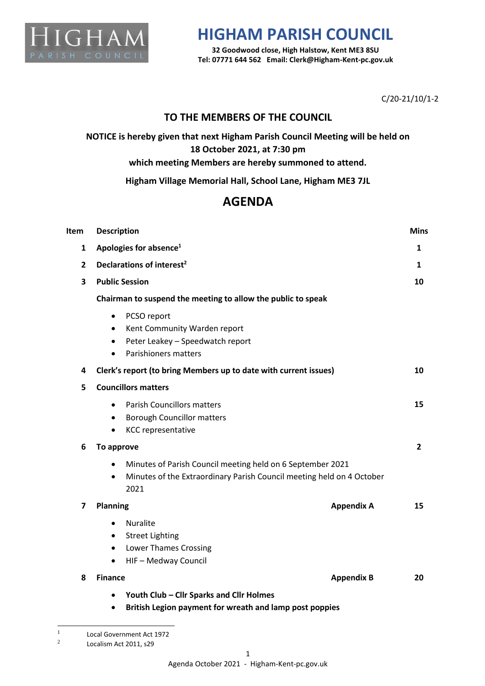

## **HIGHAM PARISH COUNCIL**

**32 Goodwood close, High Halstow, Kent ME3 8SU Tel: 07771 644 562 Email: Clerk@Higham-Kent-pc.gov.uk**

C/20-21/10/1-2

#### **TO THE MEMBERS OF THE COUNCIL**

#### **NOTICE is hereby given that next Higham Parish Council Meeting will be held on 18 October 2021, at 7:30 pm which meeting Members are hereby summoned to attend.**

**Higham Village Memorial Hall, School Lane, Higham ME3 7JL**

### **AGENDA**

| Item         | <b>Description</b>                                                                                                                                                    | <b>Mins</b>  |
|--------------|-----------------------------------------------------------------------------------------------------------------------------------------------------------------------|--------------|
| 1            | Apologies for absence <sup>1</sup>                                                                                                                                    | 1            |
| $\mathbf{2}$ | Declarations of interest <sup>2</sup>                                                                                                                                 | 1            |
| 3            | <b>Public Session</b>                                                                                                                                                 | 10           |
|              | Chairman to suspend the meeting to allow the public to speak                                                                                                          |              |
|              | PCSO report<br>$\bullet$<br>Kent Community Warden report<br>$\bullet$<br>Peter Leakey - Speedwatch report<br>$\bullet$<br>Parishioners matters<br>$\bullet$           |              |
| 4            | Clerk's report (to bring Members up to date with current issues)                                                                                                      | 10           |
| 5            | <b>Councillors matters</b>                                                                                                                                            |              |
|              | <b>Parish Councillors matters</b><br>$\bullet$<br><b>Borough Councillor matters</b><br>$\bullet$<br><b>KCC</b> representative<br>$\bullet$                            | 15           |
| 6            | To approve                                                                                                                                                            | $\mathbf{2}$ |
|              | Minutes of Parish Council meeting held on 6 September 2021<br>$\bullet$<br>Minutes of the Extraordinary Parish Council meeting held on 4 October<br>$\bullet$<br>2021 |              |
| 7            | <b>Planning</b><br><b>Appendix A</b>                                                                                                                                  | 15           |
|              | Nuralite<br>$\bullet$<br><b>Street Lighting</b><br>$\bullet$<br><b>Lower Thames Crossing</b><br>$\bullet$<br>HIF-Medway Council<br>$\bullet$                          |              |
| 8            | <b>Finance</b><br><b>Appendix B</b>                                                                                                                                   | 20           |
|              | Youth Club - Cllr Sparks and Cllr Holmes<br>$\bullet$<br>British Legion payment for wreath and lamp post poppies<br>$\bullet$                                         |              |
|              |                                                                                                                                                                       |              |

Local Government Act 1972 2 Localism Act 2011, s29

1